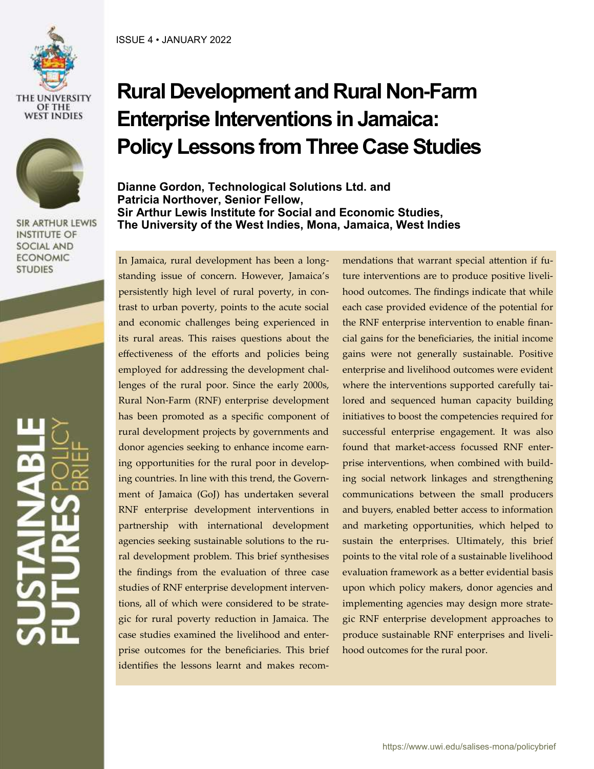



**SIR ARTHUR LEWIS INSTITUTE OF SOCIAL AND ECONOMIC STUDIES** 

# **Rural Development and Rural Non-Farm Enterprise Interventions in Jamaica: Policy Lessons from Three Case Studies**

**Dianne Gordon, Technological Solutions Ltd. and Patricia Northover, Senior Fellow, Sir Arthur Lewis Institute for Social and Economic Studies, The University of the West Indies, Mona, Jamaica, West Indies**

In Jamaica, rural development has been a longstanding issue of concern. However, Jamaica's persistently high level of rural poverty, in contrast to urban poverty, points to the acute social and economic challenges being experienced in its rural areas. This raises questions about the effectiveness of the efforts and policies being employed for addressing the development challenges of the rural poor. Since the early 2000s, Rural Non-Farm (RNF) enterprise development has been promoted as a specific component of rural development projects by governments and donor agencies seeking to enhance income earning opportunities for the rural poor in developing countries. In line with this trend, the Government of Jamaica (GoJ) has undertaken several RNF enterprise development interventions in partnership with international development agencies seeking sustainable solutions to the rural development problem. This brief synthesises the findings from the evaluation of three case studies of RNF enterprise development interventions, all of which were considered to be strategic for rural poverty reduction in Jamaica. The case studies examined the livelihood and enterprise outcomes for the beneficiaries. This brief identifies the lessons learnt and makes recommendations that warrant special attention if future interventions are to produce positive livelihood outcomes. The findings indicate that while each case provided evidence of the potential for the RNF enterprise intervention to enable financial gains for the beneficiaries, the initial income gains were not generally sustainable. Positive enterprise and livelihood outcomes were evident where the interventions supported carefully tailored and sequenced human capacity building initiatives to boost the competencies required for successful enterprise engagement. It was also found that market-access focussed RNF enterprise interventions, when combined with building social network linkages and strengthening communications between the small producers and buyers, enabled better access to information and marketing opportunities, which helped to sustain the enterprises. Ultimately, this brief points to the vital role of a sustainable livelihood evaluation framework as a better evidential basis upon which policy makers, donor agencies and implementing agencies may design more strategic RNF enterprise development approaches to produce sustainable RNF enterprises and livelihood outcomes for the rural poor.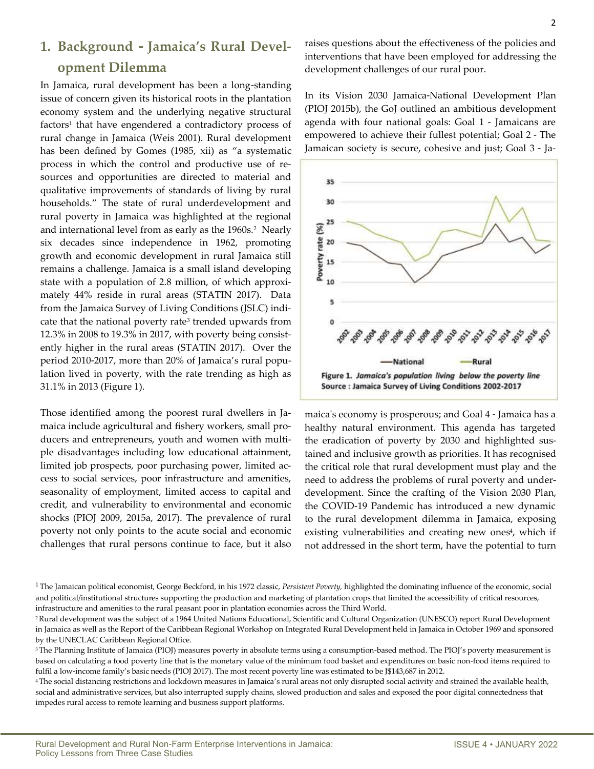### **1. Background - Jamaica's Rural Development Dilemma**

In Jamaica, rural development has been a long-standing issue of concern given its historical roots in the plantation economy system and the underlying negative structural factors<sup>1</sup> that have engendered a contradictory process of rural change in Jamaica (Weis 2001). Rural development has been defined by Gomes (1985, xii) as "a systematic process in which the control and productive use of resources and opportunities are directed to material and qualitative improvements of standards of living by rural households." The state of rural underdevelopment and rural poverty in Jamaica was highlighted at the regional and international level from as early as the 1960s.<sup>2</sup> Nearly six decades since independence in 1962, promoting growth and economic development in rural Jamaica still remains a challenge. Jamaica is a small island developing state with a population of 2.8 million, of which approximately 44% reside in rural areas (STATIN 2017). Data from the Jamaica Survey of Living Conditions (JSLC) indicate that the national poverty rate<sup>3</sup> trended upwards from 12.3% in 2008 to 19.3% in 2017, with poverty being consistently higher in the rural areas (STATIN 2017). Over the period 2010-2017, more than 20% of Jamaica's rural population lived in poverty, with the rate trending as high as 31.1% in 2013 (Figure 1).

Those identified among the poorest rural dwellers in Jamaica include agricultural and fishery workers, small producers and entrepreneurs, youth and women with multiple disadvantages including low educational attainment, limited job prospects, poor purchasing power, limited access to social services, poor infrastructure and amenities, seasonality of employment, limited access to capital and credit, and vulnerability to environmental and economic shocks (PIOJ 2009, 2015a, 2017). The prevalence of rural poverty not only points to the acute social and economic challenges that rural persons continue to face, but it also

raises questions about the effectiveness of the policies and interventions that have been employed for addressing the development challenges of our rural poor.

In its Vision 2030 Jamaica-National Development Plan (PIOJ 2015b), the GoJ outlined an ambitious development agenda with four national goals: Goal 1 - Jamaicans are empowered to achieve their fullest potential; Goal 2 - The Jamaican society is secure, cohesive and just; Goal 3 - Ja-



maica's economy is prosperous; and Goal 4 - Jamaica has a healthy natural environment. This agenda has targeted the eradication of poverty by 2030 and highlighted sustained and inclusive growth as priorities. It has recognised the critical role that rural development must play and the need to address the problems of rural poverty and underdevelopment. Since the crafting of the Vision 2030 Plan, the COVID-19 Pandemic has introduced a new dynamic to the rural development dilemma in Jamaica, exposing existing vulnerabilities and creating new ones<sup>4</sup>, which if not addressed in the short term, have the potential to turn

<sup>4</sup>The social distancing restrictions and lockdown measures in Jamaica's rural areas not only disrupted social activity and strained the available health, social and administrative services, but also interrupted supply chains, slowed production and sales and exposed the poor digital connectedness that impedes rural access to remote learning and business support platforms.

<sup>1</sup>The Jamaican political economist, George Beckford, in his 1972 classic, *Persistent Poverty,* highlighted the dominating influence of the economic, social and political/institutional structures supporting the production and marketing of plantation crops that limited the accessibility of critical resources, infrastructure and amenities to the rural peasant poor in plantation economies across the Third World.

<sup>&</sup>lt;sup>2</sup> Rural development was the subject of a 1964 United Nations Educational, Scientific and Cultural Organization (UNESCO) report Rural Development in Jamaica as well as the Report of the Caribbean Regional Workshop on Integrated Rural Development held in Jamaica in October 1969 and sponsored by the UNECLAC Caribbean Regional Office.

<sup>&</sup>lt;sup>3</sup>The Planning Institute of Jamaica (PIOJ) measures poverty in absolute terms using a consumption-based method. The PIOJ's poverty measurement is based on calculating a food poverty line that is the monetary value of the minimum food basket and expenditures on basic non-food items required to fulfil a low-income family's basic needs (PIOJ 2017). The most recent poverty line was estimated to be J\$143,687 in 2012.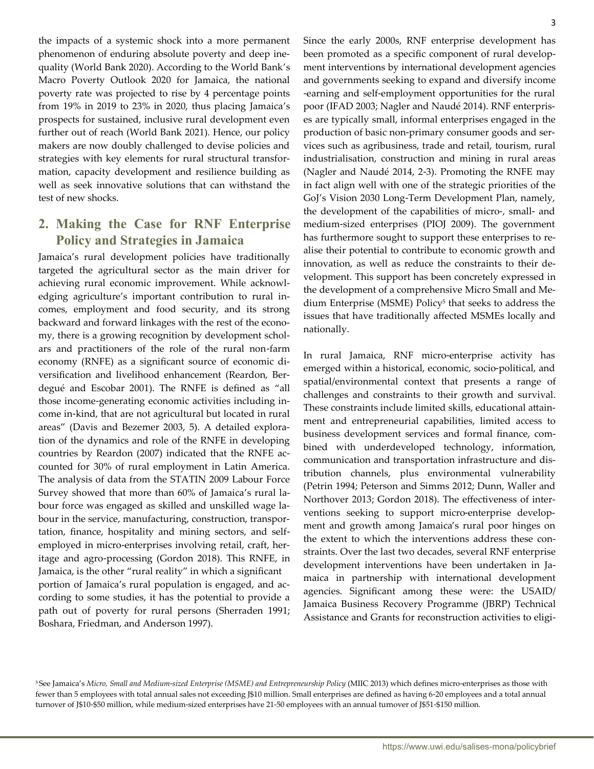the impacts of a systemic shock into a more permanent phenomenon of enduring absolute poverty and deep inequality (World Bank 2020). According to the World Bank's Macro Poverty Outlook 2020 for Jamaica, the national poverty rate was projected to rise by 4 percentage points from 19% in 2019 to 23% in 2020, thus placing Jamaica's prospects for sustained, inclusive rural development even further out of reach (World Bank 2021). Hence, our policy makers are now doubly challenged to devise policies and strategies with key elements for rural structural transformation, capacity development and resilience building as well as seek innovative solutions that can withstand the test of new shocks.

### **2. Making the Case for RNF Enterprise Policy and Strategies in Jamaica**

Jamaica's rural development policies have traditionally targeted the agricultural sector as the main driver for achieving rural economic improvement. While acknowledging agriculture's important contribution to rural incomes, employment and food security, and its strong backward and forward linkages with the rest of the economy, there is a growing recognition by development scholars and practitioners of the role of the rural non-farm economy (RNFE) as a significant source of economic diversification and livelihood enhancement (Reardon, Berdegué and Escobar 2001). The RNFE is defined as "all those income-generating economic activities including income in-kind, that are not agricultural but located in rural areas" (Davis and Bezemer 2003, 5). A detailed exploration of the dynamics and role of the RNFE in developing countries by Reardon (2007) indicated that the RNFE accounted for 30% of rural employment in Latin America. The analysis of data from the STATIN 2009 Labour Force Survey showed that more than 60% of Jamaica's rural labour force was engaged as skilled and unskilled wage labour in the service, manufacturing, construction, transportation, finance, hospitality and mining sectors, and selfemployed in micro-enterprises involving retail, craft, heritage and agro-processing (Gordon 2018). This RNFE, in Jamaica, is the other "rural reality" in which a significant portion of Jamaica's rural population is engaged, and according to some studies, it has the potential to provide a path out of poverty for rural persons (Sherraden 1991; Boshara, Friedman, and Anderson 1997).

Since the early 2000s, RNF enterprise development has been promoted as a specific component of rural development interventions by international development agencies and governments seeking to expand and diversify income -earning and self-employment opportunities for the rural poor (IFAD 2003; Nagler and Naudé 2014). RNF enterprises are typically small, informal enterprises engaged in the production of basic non-primary consumer goods and services such as agribusiness, trade and retail, tourism, rural industrialisation, construction and mining in rural areas (Nagler and Naudé 2014, 2-3). Promoting the RNFE may in fact align well with one of the strategic priorities of the GoJ's Vision 2030 Long-Term Development Plan, namely, the development of the capabilities of micro-, small- and medium-sized enterprises (PIOJ 2009). The government has furthermore sought to support these enterprises to realise their potential to contribute to economic growth and innovation, as well as reduce the constraints to their development. This support has been concretely expressed in the development of a comprehensive Micro Small and Medium Enterprise (MSME) Policy<sup>5</sup> that seeks to address the issues that have traditionally affected MSMEs locally and nationally.

In rural Jamaica, RNF micro-enterprise activity has emerged within a historical, economic, socio-political, and spatial/environmental context that presents a range of challenges and constraints to their growth and survival. These constraints include limited skills, educational attainment and entrepreneurial capabilities, limited access to business development services and formal finance, combined with underdeveloped technology, information, communication and transportation infrastructure and distribution channels, plus environmental vulnerability (Petrin 1994; Peterson and Simms 2012; Dunn, Waller and Northover 2013; Gordon 2018). The effectiveness of interventions seeking to support micro-enterprise development and growth among Jamaica's rural poor hinges on the extent to which the interventions address these constraints. Over the last two decades, several RNF enterprise development interventions have been undertaken in Jamaica in partnership with international development agencies. Significant among these were: the USAID/ Jamaica Business Recovery Programme (JBRP) Technical Assistance and Grants for reconstruction activities to eligi-

<sup>5</sup>See Jamaica's *Micro, Small and Medium-sized Enterprise (MSME) and Entrepreneurship Policy* (MIIC 2013) which defines micro-enterprises as those with fewer than 5 employees with total annual sales not exceeding J\$10 million. Small enterprises are defined as having 6-20 employees and a total annual turnover of J\$10-\$50 million, while medium-sized enterprises have 21-50 employees with an annual turnover of J\$51-\$150 million.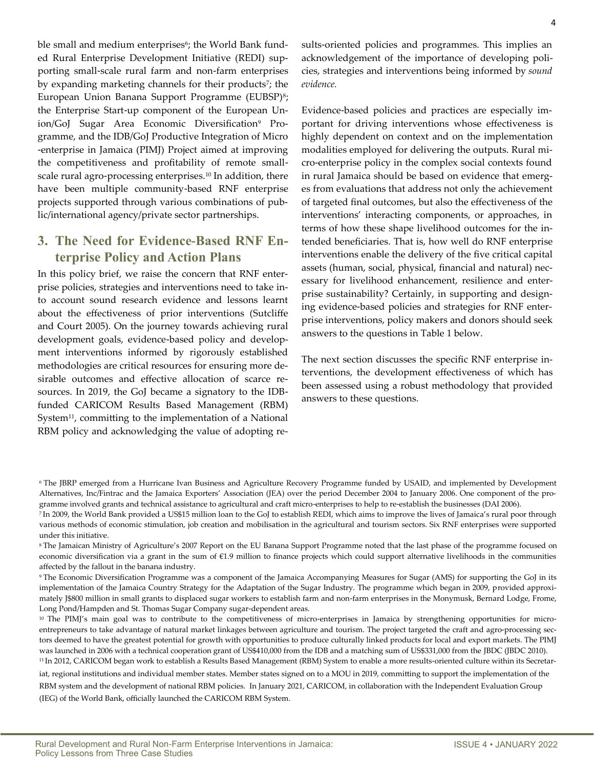ble small and medium enterprises<sup>6</sup>; the World Bank funded Rural Enterprise Development Initiative (REDI) supporting small-scale rural farm and non-farm enterprises by expanding marketing channels for their products<sup>7</sup>; the European Union Banana Support Programme (EUBSP)<sup>8</sup>; the Enterprise Start-up component of the European Union/GoJ Sugar Area Economic Diversification<sup>9</sup> Programme, and the IDB/GoJ Productive Integration of Micro -enterprise in Jamaica (PIMJ) Project aimed at improving the competitiveness and profitability of remote smallscale rural agro-processing enterprises.<sup>10</sup> In addition, there have been multiple community-based RNF enterprise projects supported through various combinations of public/international agency/private sector partnerships.

### **3. The Need for Evidence-Based RNF Enterprise Policy and Action Plans**

In this policy brief, we raise the concern that RNF enterprise policies, strategies and interventions need to take into account sound research evidence and lessons learnt about the effectiveness of prior interventions (Sutcliffe and Court 2005). On the journey towards achieving rural development goals, evidence-based policy and development interventions informed by rigorously established methodologies are critical resources for ensuring more desirable outcomes and effective allocation of scarce resources. In 2019, the GoJ became a signatory to the IDBfunded CARICOM Results Based Management (RBM) System<sup>11</sup>, committing to the implementation of a National RBM policy and acknowledging the value of adopting results-oriented policies and programmes. This implies an acknowledgement of the importance of developing policies, strategies and interventions being informed by *sound evidence.*

Evidence-based policies and practices are especially important for driving interventions whose effectiveness is highly dependent on context and on the implementation modalities employed for delivering the outputs. Rural micro-enterprise policy in the complex social contexts found in rural Jamaica should be based on evidence that emerges from evaluations that address not only the achievement of targeted final outcomes, but also the effectiveness of the interventions' interacting components, or approaches, in terms of how these shape livelihood outcomes for the intended beneficiaries. That is, how well do RNF enterprise interventions enable the delivery of the five critical capital assets (human, social, physical, financial and natural) necessary for livelihood enhancement, resilience and enterprise sustainability? Certainly, in supporting and designing evidence-based policies and strategies for RNF enterprise interventions, policy makers and donors should seek answers to the questions in Table 1 below.

The next section discusses the specific RNF enterprise interventions, the development effectiveness of which has been assessed using a robust methodology that provided answers to these questions.

<sup>6</sup>The JBRP emerged from a Hurricane Ivan Business and Agriculture Recovery Programme funded by USAID, and implemented by Development Alternatives, Inc/Fintrac and the Jamaica Exporters' Association (JEA) over the period December 2004 to January 2006. One component of the programme involved grants and technical assistance to agricultural and craft micro-enterprises to help to re-establish the businesses (DAI 2006).

<sup>7</sup>In 2009, the World Bank provided a US\$15 million loan to the GoJ to establish REDI, which aims to improve the lives of Jamaica's rural poor through various methods of economic stimulation, job creation and mobilisation in the agricultural and tourism sectors. Six RNF enterprises were supported under this initiative.

<sup>8</sup>The Jamaican Ministry of Agriculture's 2007 Report on the EU Banana Support Programme noted that the last phase of the programme focused on economic diversification via a grant in the sum of €1.9 million to finance projects which could support alternative livelihoods in the communities affected by the fallout in the banana industry.

<sup>9</sup>The Economic Diversification Programme was a component of the Jamaica Accompanying Measures for Sugar (AMS) for supporting the GoJ in its implementation of the Jamaica Country Strategy for the Adaptation of the Sugar Industry. The programme which began in 2009, provided approximately J\$800 million in small grants to displaced sugar workers to establish farm and non-farm enterprises in the Monymusk, Bernard Lodge, Frome, Long Pond/Hampden and St. Thomas Sugar Company sugar-dependent areas.

<sup>&</sup>lt;sup>10</sup> The PIMJ's main goal was to contribute to the competitiveness of micro-enterprises in Jamaica by strengthening opportunities for microentrepreneurs to take advantage of natural market linkages between agriculture and tourism. The project targeted the craft and agro-processing sectors deemed to have the greatest potential for growth with opportunities to produce culturally linked products for local and export markets. The PIMJ was launched in 2006 with a technical cooperation grant of US\$410,000 from the IDB and a matching sum of US\$331,000 from the JBDC (JBDC 2010). <sup>11</sup> In 2012, CARICOM began work to establish a Results Based Management (RBM) System to enable a more results-oriented culture within its Secretar-

iat, regional institutions and individual member states. Member states signed on to a MOU in 2019, committing to support the implementation of the RBM system and the development of national RBM policies. In January 2021, CARICOM, in collaboration with the Independent Evaluation Group (IEG) of the World Bank, officially launched the CARICOM RBM System.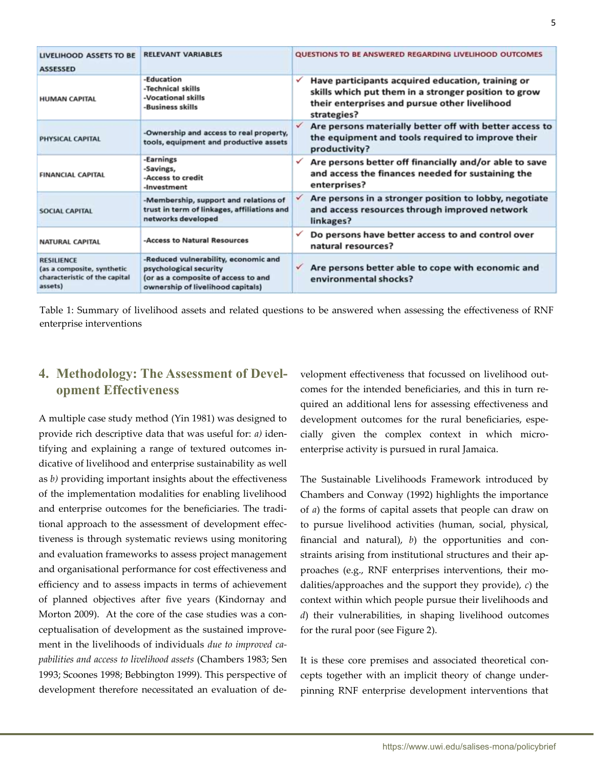| <b>LIVELIHOOD ASSETS TO BE</b><br><b>ASSESSED</b>                                           | <b>RELEVANT VARIABLES</b>                                                                                                                  |              | QUESTIONS TO BE ANSWERED REGARDING LIVELIHOOD OUTCOMES                                                                                                                    |
|---------------------------------------------------------------------------------------------|--------------------------------------------------------------------------------------------------------------------------------------------|--------------|---------------------------------------------------------------------------------------------------------------------------------------------------------------------------|
| <b>HUMAN CAPITAL</b>                                                                        | -Education<br>-Technical skills<br>-Vocational skills<br>-Business skills                                                                  | ✓            | Have participants acquired education, training or<br>skills which put them in a stronger position to grow<br>their enterprises and pursue other livelihood<br>strategies? |
| <b>PHYSICAL CAPITAL</b>                                                                     | -Ownership and access to real property,<br>tools, equipment and productive assets                                                          | ✓            | Are persons materially better off with better access to<br>the equipment and tools required to improve their<br>productivity?                                             |
| <b>FINANCIAL CAPITAL</b>                                                                    | -Earnings<br>-Savings,<br>-Access to credit<br>-Investment                                                                                 |              | Are persons better off financially and/or able to save<br>and access the finances needed for sustaining the<br>enterprises?                                               |
| <b>SOCIAL CAPITAL</b>                                                                       | -Membership, support and relations of<br>trust in term of linkages, affiliations and<br>networks developed                                 | ✓            | Are persons in a stronger position to lobby, negotiate<br>and access resources through improved network<br>linkages?                                                      |
| <b>NATURAL CAPITAL</b>                                                                      | -Access to Natural Resources                                                                                                               | ✓            | Do persons have better access to and control over<br>natural resources?                                                                                                   |
| <b>RESILIENCE</b><br>(as a composite, synthetic<br>characteristic of the capital<br>assets) | -Reduced vulnerability, economic and<br>psychological security<br>(or as a composite of access to and<br>ownership of livelihood capitals) | $\checkmark$ | Are persons better able to cope with economic and<br>environmental shocks?                                                                                                |

Table 1: Summary of livelihood assets and related questions to be answered when assessing the effectiveness of RNF enterprise interventions

### **4. Methodology: The Assessment of Development Effectiveness**

A multiple case study method (Yin 1981) was designed to provide rich descriptive data that was useful for: *a)* identifying and explaining a range of textured outcomes indicative of livelihood and enterprise sustainability as well as *b)* providing important insights about the effectiveness of the implementation modalities for enabling livelihood and enterprise outcomes for the beneficiaries. The traditional approach to the assessment of development effectiveness is through systematic reviews using monitoring and evaluation frameworks to assess project management and organisational performance for cost effectiveness and efficiency and to assess impacts in terms of achievement of planned objectives after five years (Kindornay and Morton 2009). At the core of the case studies was a conceptualisation of development as the sustained improvement in the livelihoods of individuals *due to improved capabilities and access to livelihood assets* (Chambers 1983; Sen 1993; Scoones 1998; Bebbington 1999). This perspective of development therefore necessitated an evaluation of development effectiveness that focussed on livelihood outcomes for the intended beneficiaries, and this in turn required an additional lens for assessing effectiveness and development outcomes for the rural beneficiaries, especially given the complex context in which microenterprise activity is pursued in rural Jamaica.

The Sustainable Livelihoods Framework introduced by Chambers and Conway (1992) highlights the importance of *a*) the forms of capital assets that people can draw on to pursue livelihood activities (human, social, physical, financial and natural), *b*) the opportunities and constraints arising from institutional structures and their approaches (e.g., RNF enterprises interventions, their modalities/approaches and the support they provide), *c*) the context within which people pursue their livelihoods and *d*) their vulnerabilities, in shaping livelihood outcomes for the rural poor (see Figure 2).

It is these core premises and associated theoretical concepts together with an implicit theory of change underpinning RNF enterprise development interventions that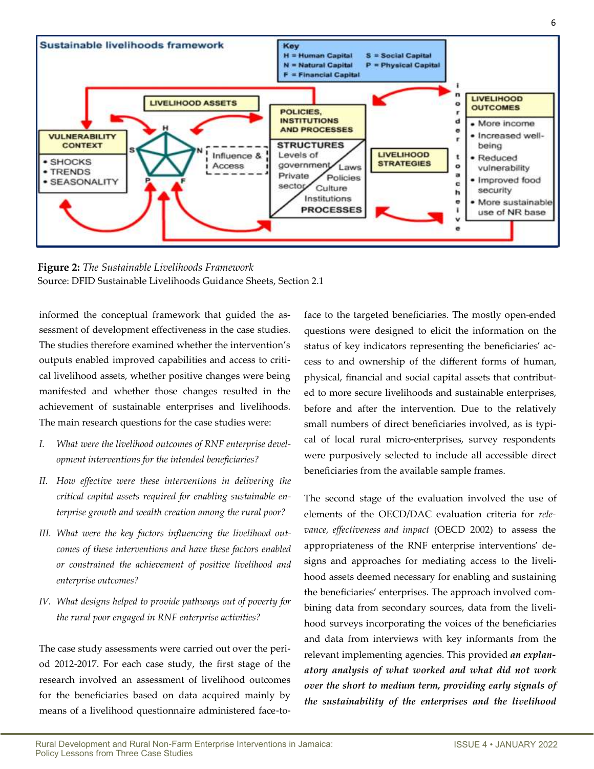

**Figure 2:** *The Sustainable Livelihoods Framework* Source: DFID Sustainable Livelihoods Guidance Sheets, Section 2.1

informed the conceptual framework that guided the assessment of development effectiveness in the case studies. The studies therefore examined whether the intervention's outputs enabled improved capabilities and access to critical livelihood assets, whether positive changes were being manifested and whether those changes resulted in the achievement of sustainable enterprises and livelihoods. The main research questions for the case studies were:

- *I. What were the livelihood outcomes of RNF enterprise development interventions for the intended beneficiaries?*
- *II. How effective were these interventions in delivering the critical capital assets required for enabling sustainable enterprise growth and wealth creation among the rural poor?*
- *III. What were the key factors influencing the livelihood outcomes of these interventions and have these factors enabled or constrained the achievement of positive livelihood and enterprise outcomes?*
- *IV. What designs helped to provide pathways out of poverty for the rural poor engaged in RNF enterprise activities?*

The case study assessments were carried out over the period 2012-2017. For each case study, the first stage of the research involved an assessment of livelihood outcomes for the beneficiaries based on data acquired mainly by means of a livelihood questionnaire administered face-to-

face to the targeted beneficiaries. The mostly open-ended questions were designed to elicit the information on the status of key indicators representing the beneficiaries' access to and ownership of the different forms of human, physical, financial and social capital assets that contributed to more secure livelihoods and sustainable enterprises, before and after the intervention. Due to the relatively small numbers of direct beneficiaries involved, as is typical of local rural micro-enterprises, survey respondents were purposively selected to include all accessible direct beneficiaries from the available sample frames.

The second stage of the evaluation involved the use of elements of the OECD/DAC evaluation criteria for *relevance, effectiveness and impact* (OECD 2002) to assess the appropriateness of the RNF enterprise interventions' designs and approaches for mediating access to the livelihood assets deemed necessary for enabling and sustaining the beneficiaries' enterprises. The approach involved combining data from secondary sources, data from the livelihood surveys incorporating the voices of the beneficiaries and data from interviews with key informants from the relevant implementing agencies. This provided *an explanatory analysis of what worked and what did not work over the short to medium term, providing early signals of the sustainability of the enterprises and the livelihood*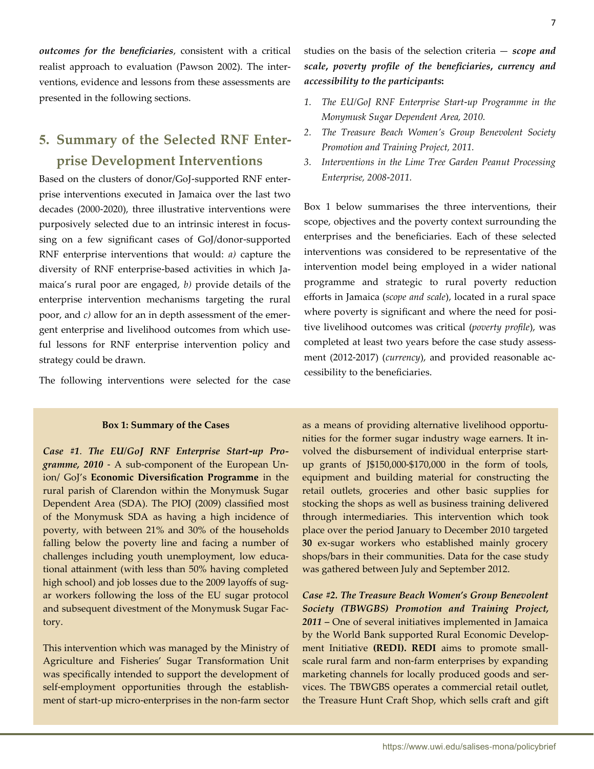*outcomes for the beneficiaries*, consistent with a critical realist approach to evaluation (Pawson 2002). The interventions, evidence and lessons from these assessments are presented in the following sections.

## **5. Summary of the Selected RNF Enterprise Development Interventions**

Based on the clusters of donor/GoJ-supported RNF enterprise interventions executed in Jamaica over the last two decades (2000-2020), three illustrative interventions were purposively selected due to an intrinsic interest in focussing on a few significant cases of GoJ/donor-supported RNF enterprise interventions that would: *a)* capture the diversity of RNF enterprise-based activities in which Jamaica's rural poor are engaged, *b)* provide details of the enterprise intervention mechanisms targeting the rural poor, and *c)* allow for an in depth assessment of the emergent enterprise and livelihood outcomes from which useful lessons for RNF enterprise intervention policy and strategy could be drawn.

The following interventions were selected for the case

#### **Box 1: Summary of the Cases**

*Case #1*. *The EU/GoJ RNF Enterprise Start-up Programme, 2010* - A sub-component of the European Union/ GoJ's **Economic Diversification Programme** in the rural parish of Clarendon within the Monymusk Sugar Dependent Area (SDA). The PIOJ (2009) classified most of the Monymusk SDA as having a high incidence of poverty, with between 21% and 30% of the households falling below the poverty line and facing a number of challenges including youth unemployment, low educational attainment (with less than 50% having completed high school) and job losses due to the 2009 layoffs of sugar workers following the loss of the EU sugar protocol and subsequent divestment of the Monymusk Sugar Factory.

This intervention which was managed by the Ministry of Agriculture and Fisheries' Sugar Transformation Unit was specifically intended to support the development of self-employment opportunities through the establishment of start-up micro-enterprises in the non-farm sector studies on the basis of the selection criteria — *scope and scale***,** *poverty profile of the beneficiaries***,** *currency and accessibility to the participants***:**

- *1. The EU/GoJ RNF Enterprise Start-up Programme in the Monymusk Sugar Dependent Area, 2010.*
- *2. The Treasure Beach Women's Group Benevolent Society Promotion and Training Project, 2011.*
- *3. Interventions in the Lime Tree Garden Peanut Processing Enterprise, 2008-2011.*

Box 1 below summarises the three interventions, their scope, objectives and the poverty context surrounding the enterprises and the beneficiaries. Each of these selected interventions was considered to be representative of the intervention model being employed in a wider national programme and strategic to rural poverty reduction efforts in Jamaica (*scope and scale*), located in a rural space where poverty is significant and where the need for positive livelihood outcomes was critical (*poverty profile*), was completed at least two years before the case study assessment (2012-2017) (*currency*), and provided reasonable accessibility to the beneficiaries.

as a means of providing alternative livelihood opportunities for the former sugar industry wage earners. It involved the disbursement of individual enterprise startup grants of J\$150,000-\$170,000 in the form of tools, equipment and building material for constructing the retail outlets, groceries and other basic supplies for stocking the shops as well as business training delivered through intermediaries. This intervention which took place over the period January to December 2010 targeted **30** ex-sugar workers who established mainly grocery shops/bars in their communities. Data for the case study was gathered between July and September 2012.

*Case #2. The Treasure Beach Women's Group Benevolent Society (TBWGBS) Promotion and Training Project, 2011 –* One of several initiatives implemented in Jamaica by the World Bank supported Rural Economic Development Initiative **(REDI). REDI** aims to promote smallscale rural farm and non-farm enterprises by expanding marketing channels for locally produced goods and services. The TBWGBS operates a commercial retail outlet, the Treasure Hunt Craft Shop, which sells craft and gift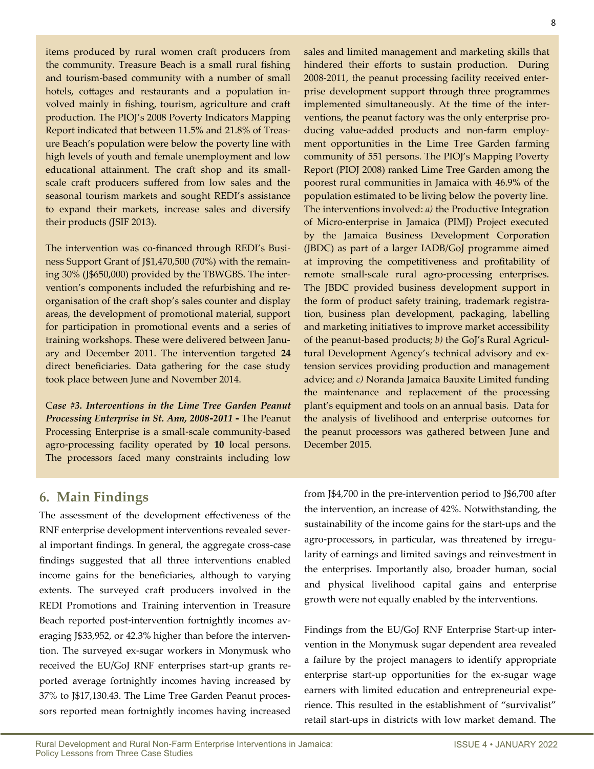items produced by rural women craft producers from the community. Treasure Beach is a small rural fishing and tourism-based community with a number of small hotels, cottages and restaurants and a population involved mainly in fishing, tourism, agriculture and craft production. The PIOJ's 2008 Poverty Indicators Mapping Report indicated that between 11.5% and 21.8% of Treasure Beach's population were below the poverty line with high levels of youth and female unemployment and low educational attainment. The craft shop and its smallscale craft producers suffered from low sales and the seasonal tourism markets and sought REDI's assistance to expand their markets, increase sales and diversify their products (JSIF 2013).

The intervention was co-financed through REDI's Business Support Grant of J\$1,470,500 (70%) with the remaining 30% (J\$650,000) provided by the TBWGBS. The intervention's components included the refurbishing and reorganisation of the craft shop's sales counter and display areas, the development of promotional material, support for participation in promotional events and a series of training workshops. These were delivered between January and December 2011. The intervention targeted **24** direct beneficiaries. Data gathering for the case study took place between June and November 2014.

C*ase #3. Interventions in the Lime Tree Garden Peanut Processing Enterprise in St. Ann, 2008-2011 -* The Peanut Processing Enterprise is a small-scale community-based agro-processing facility operated by **10** local persons. The processors faced many constraints including low

sales and limited management and marketing skills that hindered their efforts to sustain production. During 2008-2011, the peanut processing facility received enterprise development support through three programmes implemented simultaneously. At the time of the interventions, the peanut factory was the only enterprise producing value-added products and non-farm employment opportunities in the Lime Tree Garden farming community of 551 persons. The PIOJ's Mapping Poverty Report (PIOJ 2008) ranked Lime Tree Garden among the poorest rural communities in Jamaica with 46.9% of the population estimated to be living below the poverty line. The interventions involved: *a)* the Productive Integration of Micro-enterprise in Jamaica (PIMJ) Project executed by the Jamaica Business Development Corporation (JBDC) as part of a larger IADB/GoJ programme aimed at improving the competitiveness and profitability of remote small-scale rural agro-processing enterprises. The JBDC provided business development support in the form of product safety training, trademark registration, business plan development, packaging, labelling and marketing initiatives to improve market accessibility of the peanut-based products; *b)* the GoJ's Rural Agricultural Development Agency's technical advisory and extension services providing production and management advice; and *c)* Noranda Jamaica Bauxite Limited funding the maintenance and replacement of the processing plant's equipment and tools on an annual basis. Data for the analysis of livelihood and enterprise outcomes for the peanut processors was gathered between June and December 2015.

### **6. Main Findings**

The assessment of the development effectiveness of the RNF enterprise development interventions revealed several important findings. In general, the aggregate cross-case findings suggested that all three interventions enabled income gains for the beneficiaries, although to varying extents. The surveyed craft producers involved in the REDI Promotions and Training intervention in Treasure Beach reported post-intervention fortnightly incomes averaging J\$33,952, or 42.3% higher than before the intervention. The surveyed ex-sugar workers in Monymusk who received the EU/GoJ RNF enterprises start-up grants reported average fortnightly incomes having increased by 37% to J\$17,130.43. The Lime Tree Garden Peanut processors reported mean fortnightly incomes having increased

from J\$4,700 in the pre-intervention period to J\$6,700 after the intervention, an increase of 42%. Notwithstanding, the sustainability of the income gains for the start-ups and the agro-processors, in particular, was threatened by irregularity of earnings and limited savings and reinvestment in the enterprises. Importantly also, broader human, social and physical livelihood capital gains and enterprise growth were not equally enabled by the interventions.

Findings from the EU/GoJ RNF Enterprise Start-up intervention in the Monymusk sugar dependent area revealed a failure by the project managers to identify appropriate enterprise start-up opportunities for the ex-sugar wage earners with limited education and entrepreneurial experience. This resulted in the establishment of "survivalist" retail start-ups in districts with low market demand. The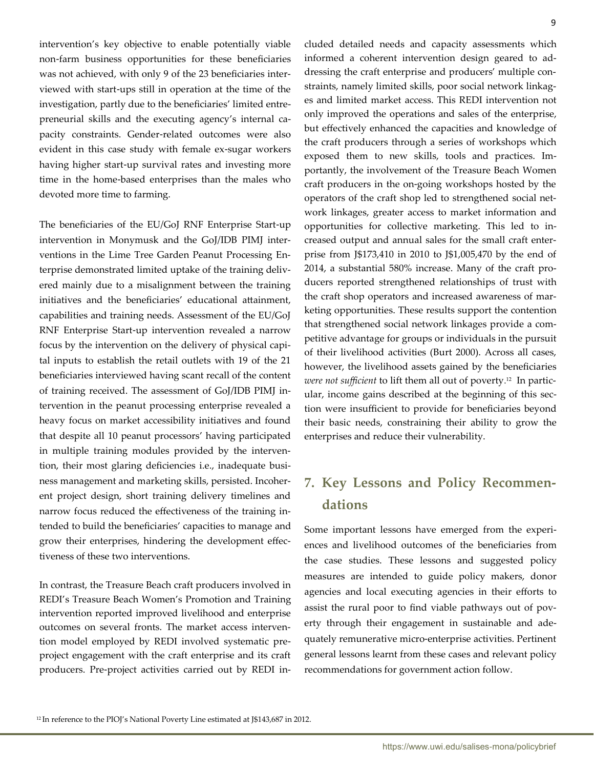9

intervention's key objective to enable potentially viable non-farm business opportunities for these beneficiaries was not achieved, with only 9 of the 23 beneficiaries interviewed with start-ups still in operation at the time of the investigation, partly due to the beneficiaries' limited entrepreneurial skills and the executing agency's internal capacity constraints. Gender-related outcomes were also evident in this case study with female ex-sugar workers having higher start-up survival rates and investing more time in the home-based enterprises than the males who devoted more time to farming.

The beneficiaries of the EU/GoJ RNF Enterprise Start-up intervention in Monymusk and the GoJ/IDB PIMJ interventions in the Lime Tree Garden Peanut Processing Enterprise demonstrated limited uptake of the training delivered mainly due to a misalignment between the training initiatives and the beneficiaries' educational attainment, capabilities and training needs. Assessment of the EU/GoJ RNF Enterprise Start-up intervention revealed a narrow focus by the intervention on the delivery of physical capital inputs to establish the retail outlets with 19 of the 21 beneficiaries interviewed having scant recall of the content of training received. The assessment of GoJ/IDB PIMJ intervention in the peanut processing enterprise revealed a heavy focus on market accessibility initiatives and found that despite all 10 peanut processors' having participated in multiple training modules provided by the intervention, their most glaring deficiencies i.e., inadequate business management and marketing skills, persisted. Incoherent project design, short training delivery timelines and narrow focus reduced the effectiveness of the training intended to build the beneficiaries' capacities to manage and grow their enterprises, hindering the development effectiveness of these two interventions.

In contrast, the Treasure Beach craft producers involved in REDI's Treasure Beach Women's Promotion and Training intervention reported improved livelihood and enterprise outcomes on several fronts. The market access intervention model employed by REDI involved systematic preproject engagement with the craft enterprise and its craft producers. Pre-project activities carried out by REDI included detailed needs and capacity assessments which informed a coherent intervention design geared to addressing the craft enterprise and producers' multiple constraints, namely limited skills, poor social network linkages and limited market access. This REDI intervention not only improved the operations and sales of the enterprise, but effectively enhanced the capacities and knowledge of the craft producers through a series of workshops which exposed them to new skills, tools and practices. Importantly, the involvement of the Treasure Beach Women craft producers in the on-going workshops hosted by the operators of the craft shop led to strengthened social network linkages, greater access to market information and opportunities for collective marketing. This led to increased output and annual sales for the small craft enterprise from J\$173,410 in 2010 to J\$1,005,470 by the end of 2014, a substantial 580% increase. Many of the craft producers reported strengthened relationships of trust with the craft shop operators and increased awareness of marketing opportunities. These results support the contention that strengthened social network linkages provide a competitive advantage for groups or individuals in the pursuit of their livelihood activities (Burt 2000). Across all cases, however, the livelihood assets gained by the beneficiaries *were not sufficient* to lift them all out of poverty. <sup>12</sup> In particular, income gains described at the beginning of this section were insufficient to provide for beneficiaries beyond their basic needs, constraining their ability to grow the enterprises and reduce their vulnerability.

### **7. Key Lessons and Policy Recommendations**

Some important lessons have emerged from the experiences and livelihood outcomes of the beneficiaries from the case studies. These lessons and suggested policy measures are intended to guide policy makers, donor agencies and local executing agencies in their efforts to assist the rural poor to find viable pathways out of poverty through their engagement in sustainable and adequately remunerative micro-enterprise activities. Pertinent general lessons learnt from these cases and relevant policy recommendations for government action follow.

<sup>12</sup> In reference to the PIOJ's National Poverty Line estimated at J\$143,687 in 2012.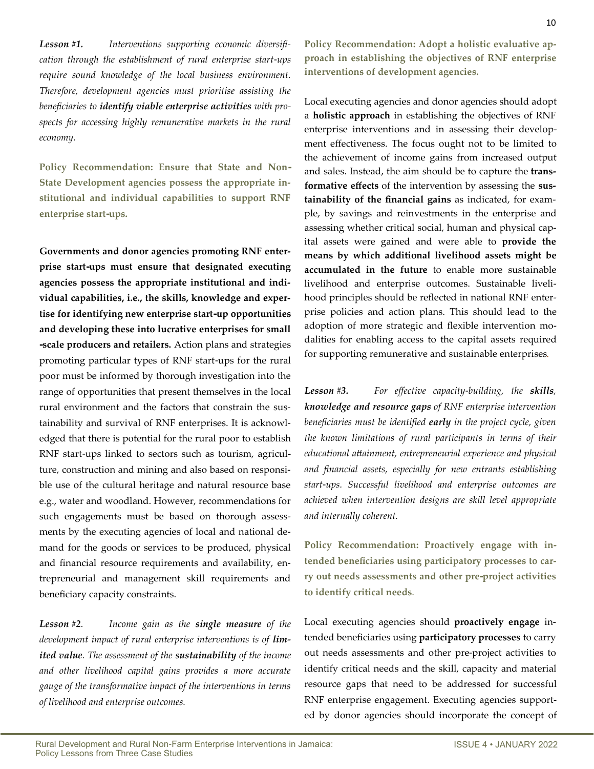*Lesson #1. Interventions supporting economic diversification through the establishment of rural enterprise start-ups require sound knowledge of the local business environment. Therefore, development agencies must prioritise assisting the beneficiaries to identify viable enterprise activities with prospects for accessing highly remunerative markets in the rural economy.*

**Policy Recommendation: Ensure that State and Non-State Development agencies possess the appropriate institutional and individual capabilities to support RNF enterprise start-ups.**

**Governments and donor agencies promoting RNF enterprise start-ups must ensure that designated executing agencies possess the appropriate institutional and individual capabilities, i.e., the skills, knowledge and expertise for identifying new enterprise start-up opportunities and developing these into lucrative enterprises for small -scale producers and retailers.** Action plans and strategies promoting particular types of RNF start-ups for the rural poor must be informed by thorough investigation into the range of opportunities that present themselves in the local rural environment and the factors that constrain the sustainability and survival of RNF enterprises. It is acknowledged that there is potential for the rural poor to establish RNF start-ups linked to sectors such as tourism, agriculture, construction and mining and also based on responsible use of the cultural heritage and natural resource base e.g., water and woodland. However, recommendations for such engagements must be based on thorough assessments by the executing agencies of local and national demand for the goods or services to be produced, physical and financial resource requirements and availability, entrepreneurial and management skill requirements and beneficiary capacity constraints.

*Lesson #2. Income gain as the single measure of the*  development impact of rural enterprise interventions is of lim*ited value. The assessment of the sustainability of the income and other livelihood capital gains provides a more accurate gauge of the transformative impact of the interventions in terms of livelihood and enterprise outcomes.*

**Policy Recommendation: Adopt a holistic evaluative approach in establishing the objectives of RNF enterprise interventions of development agencies.**

Local executing agencies and donor agencies should adopt a **holistic approach** in establishing the objectives of RNF enterprise interventions and in assessing their development effectiveness. The focus ought not to be limited to the achievement of income gains from increased output and sales. Instead, the aim should be to capture the **transformative effects** of the intervention by assessing the **sustainability of the financial gains** as indicated, for example, by savings and reinvestments in the enterprise and assessing whether critical social, human and physical capital assets were gained and were able to **provide the means by which additional livelihood assets might be accumulated in the future** to enable more sustainable livelihood and enterprise outcomes. Sustainable livelihood principles should be reflected in national RNF enterprise policies and action plans. This should lead to the adoption of more strategic and flexible intervention modalities for enabling access to the capital assets required for supporting remunerative and sustainable enterprises.

*Lesson #3. For effective capacity-building, the skills, knowledge and resource gaps of RNF enterprise intervention beneficiaries must be identified early in the project cycle, given the known limitations of rural participants in terms of their educational attainment, entrepreneurial experience and physical and financial assets, especially for new entrants establishing start-ups. Successful livelihood and enterprise outcomes are achieved when intervention designs are skill level appropriate and internally coherent.*

**Policy Recommendation: Proactively engage with intended beneficiaries using participatory processes to carry out needs assessments and other pre-project activities to identify critical needs**.

Local executing agencies should **proactively engage** intended beneficiaries using **participatory processes** to carry out needs assessments and other pre-project activities to identify critical needs and the skill, capacity and material resource gaps that need to be addressed for successful RNF enterprise engagement. Executing agencies supported by donor agencies should incorporate the concept of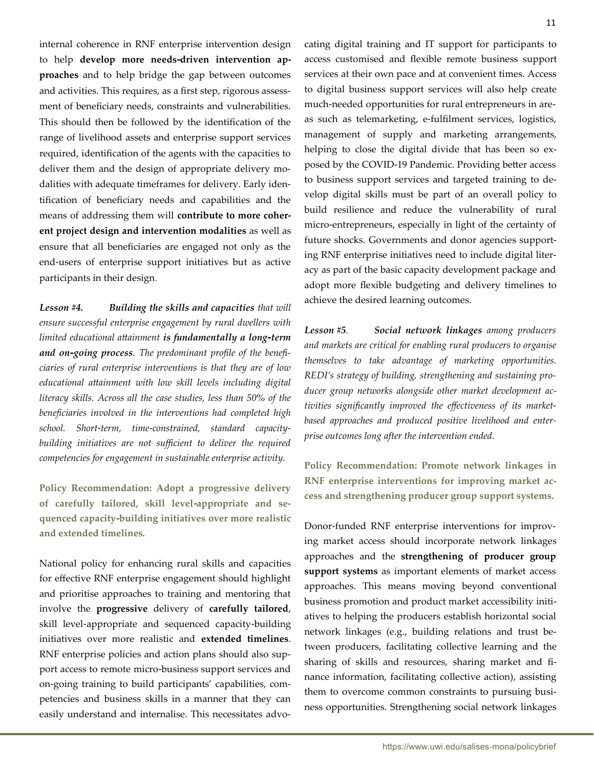internal coherence in RNF enterprise intervention design to help **develop more needs-driven intervention approaches** and to help bridge the gap between outcomes and activities. This requires, as a first step, rigorous assessment of beneficiary needs, constraints and vulnerabilities. This should then be followed by the identification of the range of livelihood assets and enterprise support services required, identification of the agents with the capacities to deliver them and the design of appropriate delivery modalities with adequate timeframes for delivery. Early identification of beneficiary needs and capabilities and the means of addressing them will **contribute to more coherent project design and intervention modalities** as well as ensure that all beneficiaries are engaged not only as the end-users of enterprise support initiatives but as active participants in their design.

*Lesson #4. Building the skills and capacities that will ensure successful enterprise engagement by rural dwellers with limited educational attainment is fundamentally a long-term and on-going process. The predominant profile of the beneficiaries of rural enterprise interventions is that they are of low educational attainment with low skill levels including digital literacy skills. Across all the case studies, less than 50% of the beneficiaries involved in the interventions had completed high school. Short-term, time-constrained, standard capacity*building initiatives are not sufficient to deliver the required *competencies for engagement in sustainable enterprise activity.* 

**Policy Recommendation: Adopt a progressive delivery of carefully tailored, skill level-appropriate and sequenced capacity-building initiatives over more realistic and extended timelines.**

National policy for enhancing rural skills and capacities for effective RNF enterprise engagement should highlight and prioritise approaches to training and mentoring that involve the **progressive** delivery of **carefully tailored**, skill level-appropriate and sequenced capacity-building initiatives over more realistic and **extended timelines**. RNF enterprise policies and action plans should also support access to remote micro-business support services and on-going training to build participants' capabilities, competencies and business skills in a manner that they can easily understand and internalise. This necessitates advocating digital training and IT support for participants to access customised and flexible remote business support services at their own pace and at convenient times. Access to digital business support services will also help create much-needed opportunities for rural entrepreneurs in areas such as telemarketing, e-fulfilment services, logistics, management of supply and marketing arrangements, helping to close the digital divide that has been so exposed by the COVID-19 Pandemic. Providing better access to business support services and targeted training to develop digital skills must be part of an overall policy to build resilience and reduce the vulnerability of rural micro-entrepreneurs, especially in light of the certainty of future shocks. Governments and donor agencies supporting RNF enterprise initiatives need to include digital literacy as part of the basic capacity development package and adopt more flexible budgeting and delivery timelines to achieve the desired learning outcomes.

*Lesson #5. Social network linkages among producers and markets are critical for enabling rural producers to organise themselves to take advantage of marketing opportunities. REDI's strategy of building, strengthening and sustaining producer group networks alongside other market development activities significantly improved the effectiveness of its marketbased approaches and produced positive livelihood and enterprise outcomes long after the intervention ended.*

**Policy Recommendation: Promote network linkages in RNF enterprise interventions for improving market access and strengthening producer group support systems.** 

Donor-funded RNF enterprise interventions for improving market access should incorporate network linkages approaches and the **strengthening of producer group support systems** as important elements of market access approaches. This means moving beyond conventional business promotion and product market accessibility initiatives to helping the producers establish horizontal social network linkages (e.g., building relations and trust between producers, facilitating collective learning and the sharing of skills and resources, sharing market and finance information, facilitating collective action), assisting them to overcome common constraints to pursuing business opportunities. Strengthening social network linkages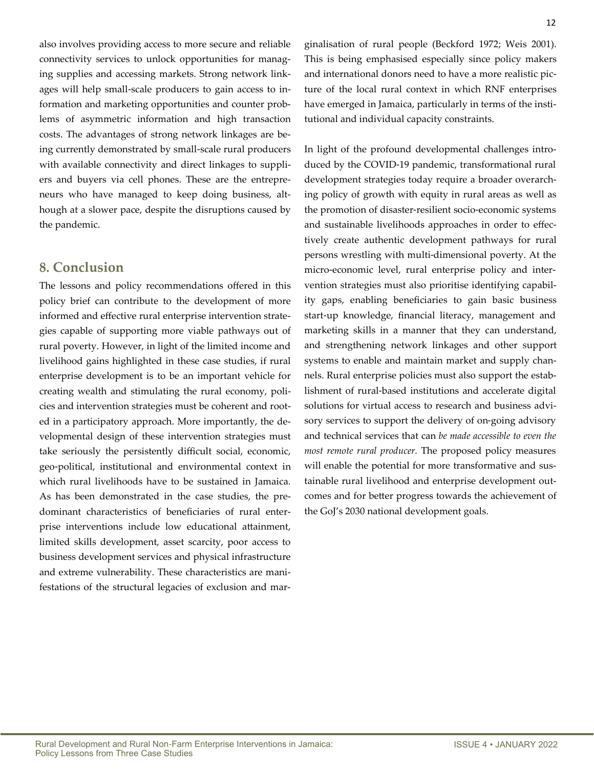also involves providing access to more secure and reliable connectivity services to unlock opportunities for managing supplies and accessing markets. Strong network linkages will help small-scale producers to gain access to information and marketing opportunities and counter problems of asymmetric information and high transaction costs. The advantages of strong network linkages are being currently demonstrated by small-scale rural producers with available connectivity and direct linkages to suppliers and buyers via cell phones. These are the entrepreneurs who have managed to keep doing business, although at a slower pace, despite the disruptions caused by the pandemic.

### **8. Conclusion**

The lessons and policy recommendations offered in this policy brief can contribute to the development of more informed and effective rural enterprise intervention strategies capable of supporting more viable pathways out of rural poverty. However, in light of the limited income and livelihood gains highlighted in these case studies, if rural enterprise development is to be an important vehicle for creating wealth and stimulating the rural economy, policies and intervention strategies must be coherent and rooted in a participatory approach. More importantly, the developmental design of these intervention strategies must take seriously the persistently difficult social, economic, geo-political, institutional and environmental context in which rural livelihoods have to be sustained in Jamaica. As has been demonstrated in the case studies, the predominant characteristics of beneficiaries of rural enterprise interventions include low educational attainment, limited skills development, asset scarcity, poor access to business development services and physical infrastructure and extreme vulnerability. These characteristics are manifestations of the structural legacies of exclusion and marIn light of the profound developmental challenges introduced by the COVID-19 pandemic, transformational rural development strategies today require a broader overarching policy of growth with equity in rural areas as well as the promotion of disaster-resilient socio-economic systems and sustainable livelihoods approaches in order to effectively create authentic development pathways for rural persons wrestling with multi-dimensional poverty. At the micro-economic level, rural enterprise policy and intervention strategies must also prioritise identifying capability gaps, enabling beneficiaries to gain basic business start-up knowledge, financial literacy, management and marketing skills in a manner that they can understand, and strengthening network linkages and other support systems to enable and maintain market and supply channels. Rural enterprise policies must also support the establishment of rural-based institutions and accelerate digital solutions for virtual access to research and business advisory services to support the delivery of on-going advisory and technical services that can *be made accessible to even the most remote rural producer.* The proposed policy measures will enable the potential for more transformative and sustainable rural livelihood and enterprise development outcomes and for better progress towards the achievement of the GoJ's 2030 national development goals.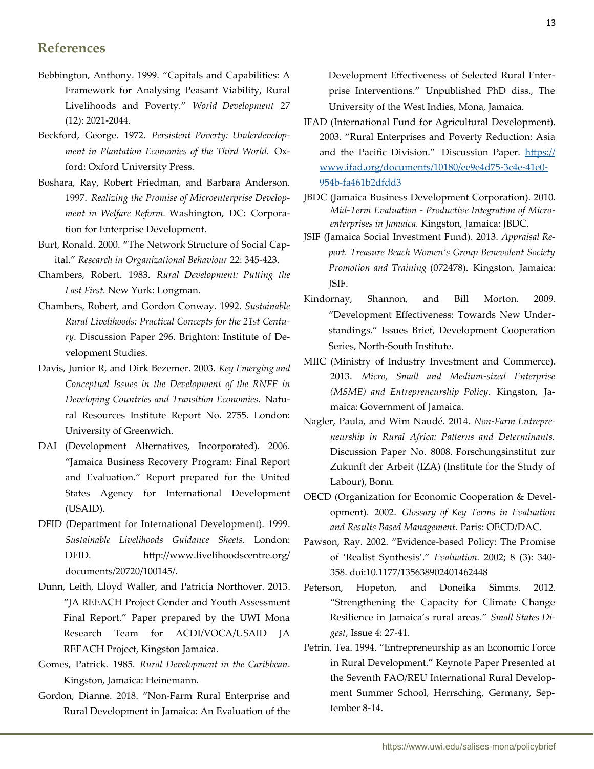### **References**

- Bebbington, Anthony. 1999. "Capitals and Capabilities: A Framework for Analysing Peasant Viability, Rural Livelihoods and Poverty." *World Development* 27 (12): 2021-2044.
- Beckford, George. 1972. *Persistent Poverty: Underdevelopment in Plantation Economies of the Third World.* Oxford: Oxford University Press.
- Boshara, Ray, Robert Friedman, and Barbara Anderson. 1997. *Realizing the Promise of Microenterprise Development in Welfare Reform.* Washington, DC: Corporation for Enterprise Development.
- Burt, Ronald. 2000. "The Network Structure of Social Capital." *Research in Organizational Behaviour* 22: 345-423.
- Chambers, Robert. 1983. *Rural Development: Putting the Last First.* New York: Longman.
- Chambers, Robert, and Gordon Conway. 1992. *Sustainable Rural Livelihoods: Practical Concepts for the 21st Century*. Discussion Paper 296. Brighton: Institute of Development Studies.
- Davis, Junior R, and Dirk Bezemer. 2003. *Key Emerging and Conceptual Issues in the Development of the RNFE in Developing Countries and Transition Economies*. Natural Resources Institute Report No. 2755. London: University of Greenwich.
- DAI (Development Alternatives, Incorporated). 2006. "Jamaica Business Recovery Program: Final Report and Evaluation." Report prepared for the United States Agency for International Development (USAID).
- DFID (Department for International Development). 1999. *Sustainable Livelihoods Guidance Sheets.* London: DFID. http://www.livelihoodscentre.org/ documents/20720/100145/.
- Dunn, Leith, Lloyd Waller, and Patricia Northover. 2013. "JA REEACH Project Gender and Youth Assessment Final Report." Paper prepared by the UWI Mona Research Team for ACDI/VOCA/USAID JA REEACH Project, Kingston Jamaica.
- Gomes, Patrick. 1985. *Rural Development in the Caribbean*. Kingston, Jamaica: Heinemann.
- Gordon, Dianne. 2018. "Non-Farm Rural Enterprise and Rural Development in Jamaica: An Evaluation of the

Development Effectiveness of Selected Rural Enterprise Interventions." Unpublished PhD diss., The University of the West Indies, Mona, Jamaica.

- IFAD (International Fund for Agricultural Development). 2003. "Rural Enterprises and Poverty Reduction: Asia and the Pacific Division."Discussion Paper. [https://](https://www.ifad.org/documents/10180/ee9e4d75-3c4e-41e0-954b-fa461b2dfdd3) [www.ifad.org/documents/10180/ee9e4d75-3c4e-41e0-](https://www.ifad.org/documents/10180/ee9e4d75-3c4e-41e0-954b-fa461b2dfdd3) [954b-fa461b2dfdd3](https://www.ifad.org/documents/10180/ee9e4d75-3c4e-41e0-954b-fa461b2dfdd3)
- JBDC (Jamaica Business Development Corporation). 2010. *Mid-Term Evaluation - Productive Integration of Microenterprises in Jamaica.* Kingston, Jamaica: JBDC.
- JSIF (Jamaica Social Investment Fund). 2013. *Appraisal Report. Treasure Beach Women's Group Benevolent Society Promotion and Training* (072478). Kingston, Jamaica: JSIF.
- Kindornay, Shannon, and Bill Morton. 2009. "Development Effectiveness: Towards New Understandings." Issues Brief, Development Cooperation Series, North-South Institute.
- MIIC (Ministry of Industry Investment and Commerce). 2013. *Micro, Small and Medium-sized Enterprise (MSME) and Entrepreneurship Policy*. Kingston, Jamaica: Government of Jamaica.
- Nagler, Paula, and Wim Naudé. 2014. *Non-Farm Entrepreneurship in Rural Africa: Patterns and Determinants.*  Discussion Paper No. 8008. Forschungsinstitut zur Zukunft der Arbeit (IZA) (Institute for the Study of Labour), Bonn.
- OECD (Organization for Economic Cooperation & Development). 2002. *Glossary of Key Terms in Evaluation and Results Based Management.* Paris: OECD/DAC.
- Pawson, Ray. 2002. "Evidence-based Policy: The Promise of 'Realist Synthesis'." *Evaluation.* 2002; 8 (3): 340- 358. doi:10.1177/135638902401462448
- Peterson, Hopeton, and Doneika Simms. 2012. "Strengthening the Capacity for Climate Change Resilience in Jamaica's rural areas." *Small States Digest*, Issue 4: 27-41.
- Petrin, Tea. 1994. "Entrepreneurship as an Economic Force in Rural Development." Keynote Paper Presented at the Seventh FAO/REU International Rural Development Summer School, Herrsching, Germany, September 8-14.